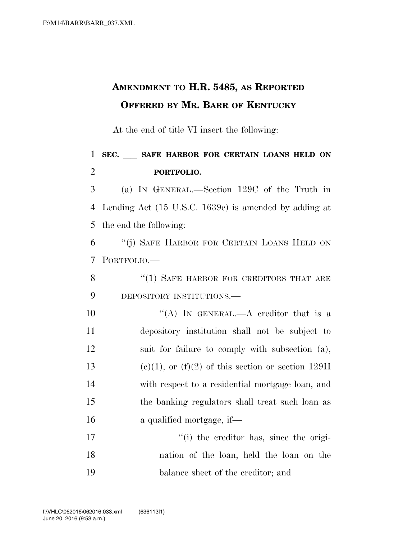## **AMENDMENT TO H.R. 5485, AS REPORTED OFFERED BY MR. BARR OF KENTUCKY**

At the end of title VI insert the following:

## <sup>1</sup> **SEC.** ll **SAFE HARBOR FOR CERTAIN LOANS HELD ON**  2 **PORTFOLIO.**

3 (a) IN GENERAL.—Section 129C of the Truth in 4 Lending Act (15 U.S.C. 1639c) is amended by adding at 5 the end the following:

6 ''(j) SAFE HARBOR FOR CERTAIN LOANS HELD ON 7 PORTFOLIO.—

8 "(1) SAFE HARBOR FOR CREDITORS THAT ARE 9 DEPOSITORY INSTITUTIONS.—

 $((A)$  IN GENERAL.—A creditor that is a depository institution shall not be subject to suit for failure to comply with subsection (a), 13 (c)(1), or (f)(2) of this section or section 129H with respect to a residential mortgage loan, and the banking regulators shall treat such loan as a qualified mortgage, if—

17  $\cdot$  (i) the creditor has, since the origi-18 nation of the loan, held the loan on the 19 balance sheet of the creditor; and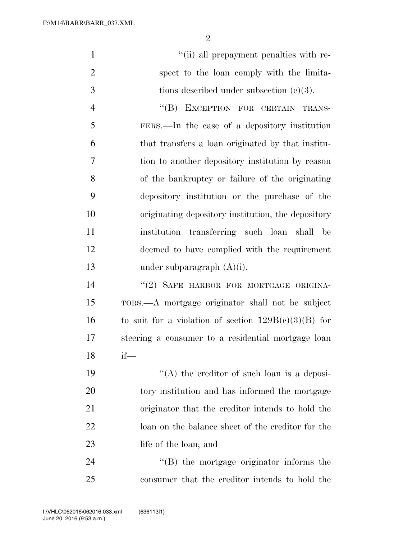2

|                | "(ii) all prepayment penalties with re-           |
|----------------|---------------------------------------------------|
| $\overline{2}$ | spect to the loan comply with the limita-         |
| 3              | tions described under subsection $(c)(3)$ .       |
| $\overline{4}$ | EXCEPTION FOR CERTAIN TRANS-<br>$\lq\lq (B)$      |
| 5              | FERS.—In the case of a depository institution     |
| 6              | that transfers a loan originated by that institu- |
| 7              | tion to another depository institution by reason  |
| 8              | of the bankruptcy or failure of the originating   |

 depository institution or the purchase of the originating depository institution, the depository institution transferring such loan shall be deemed to have complied with the requirement under subparagraph (A)(i).

14 "(2) SAFE HARBOR FOR MORTGAGE ORIGINA-15 TORS.—A mortgage originator shall not be subject 16 to suit for a violation of section  $129B(c)(3)(B)$  for 17 steering a consumer to a residential mortgage loan 18 if—

 $"$ (A) the creditor of such loan is a deposi- tory institution and has informed the mortgage originator that the creditor intends to hold the loan on the balance sheet of the creditor for the 23 life of the loan; and

24 ''(B) the mortgage originator informs the 25 consumer that the creditor intends to hold the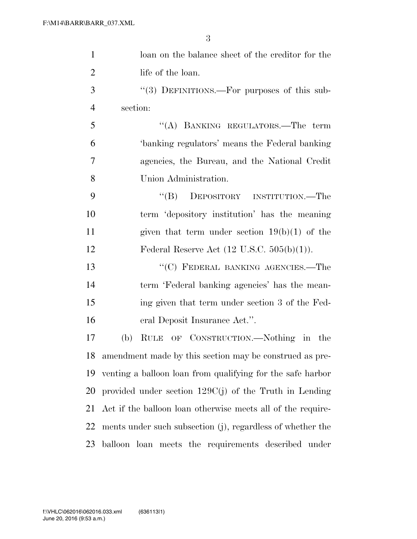| $\mathbf{1}$   | loan on the balance sheet of the creditor for the           |
|----------------|-------------------------------------------------------------|
| $\overline{2}$ | life of the loan.                                           |
| 3              | "(3) DEFINITIONS.—For purposes of this sub-                 |
| $\overline{4}$ | section:                                                    |
| 5              | "(A) BANKING REGULATORS.—The term                           |
| 6              | 'banking regulators' means the Federal banking              |
| 7              | agencies, the Bureau, and the National Credit               |
| 8              | Union Administration.                                       |
| 9              | "(B) DEPOSITORY INSTITUTION.—The                            |
| 10             | term 'depository institution' has the meaning               |
| 11             | given that term under section $19(b)(1)$ of the             |
| 12             | Federal Reserve Act $(12 \text{ U.S.C. } 505(b)(1)).$       |
| 13             | "(C) FEDERAL BANKING AGENCIES.—The                          |
| 14             | term 'Federal banking agencies' has the mean-               |
| 15             | ing given that term under section 3 of the Fed-             |
| 16             | eral Deposit Insurance Act.".                               |
| 17             | RULE OF CONSTRUCTION.—Nothing in the<br>(b)                 |
| 18             | amendment made by this section may be construed as pre-     |
| 19             | venting a balloon loan from qualifying for the safe harbor  |
| 20             | provided under section $129C(j)$ of the Truth in Lending    |
| 21             | Act if the balloon loan otherwise meets all of the require- |
| 22             | ments under such subsection (j), regardless of whether the  |
| 23             | balloon loan meets the requirements described under         |